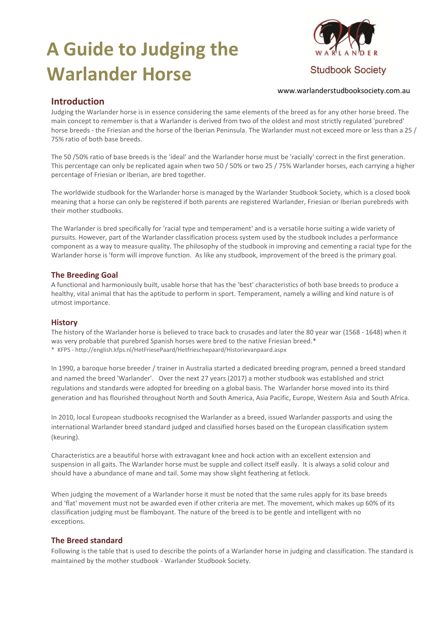# **A Guide to Judging the Warlander Horse**



## **Studbook Society**

#### www.warlanderstudbooksociety.com.au

## **Introduction**

Judging the Warlander horse is in essence considering the same elements of the breed as for any other horse breed. The main concept to remember is that a Warlander is derived from two of the oldest and most strictly regulated 'purebred' horse breeds - the Friesian and the horse of the Iberian Peninsula. The Warlander must not exceed more or less than a 25 / 75% ratio of both base breeds.

The 50 /50% ratio of base breeds is the 'ideal' and the Warlander horse must be 'racially' correct in the first generation. This percentage can only be replicated again when two 50 / 50% or two 25 / 75% Warlander horses, each carrying a higher percentage of Friesian or Iberian, are bred together.

The worldwide studbook for the Warlander horse is managed by the Warlander Studbook Society, which is a closed book meaning that a horse can only be registered if both parents are registered Warlander, Friesian or Iberian purebreds with their mother studbooks.

The Warlander is bred specifically for 'racial type and temperament' and is a versatile horse suiting a wide variety of pursuits. However, part of the Warlander classification process system used by the studbook includes a performance component as a way to measure quality. The philosophy of the studbook in improving and cementing a racial type for the Warlander horse is 'form will improve function. As like any studbook, improvement of the breed is the primary goal.

## **The Breeding Goal**

A functional and harmoniously built, usable horse that has the 'best' characteristics of both base breeds to produce a healthy, vital animal that has the aptitude to perform in sport. Temperament, namely a willing and kind nature is of utmost importance.

## **History**

The history of the Warlander horse is believed to trace back to crusades and later the 80 year war (1568 - 1648) when it was very probable that purebred Spanish horses were bred to the native Friesian breed.\*

\* KFPS - http://english.kfps.nl/HetFriesePaard/Hetfrieschepaard/Historievanpaard.aspx

In 1990, a baroque horse breeder / trainer in Australia started a dedicated breeding program, penned a breed standard and named the breed 'Warlander'. Over the next 27 years (2017) a mother studbook was established and strict regulations and standards were adopted for breeding on a global basis. The Warlander horse moved into its third generation and has flourished throughout North and South America, Asia Pacific, Europe, Western Asia and South Africa.

In 2010, local European studbooks recognised the Warlander as a breed, issued Warlander passports and using the international Warlander breed standard judged and classified horses based on the European classification system (keuring).

Characteristics are a beautiful horse with extravagant knee and hock action with an excellent extension and suspension in all gaits. The Warlander horse must be supple and collect itself easily. It is always a solid colour and should have a abundance of mane and tail. Some may show slight feathering at fetlock.

When judging the movement of a Warlander horse it must be noted that the same rules apply for its base breeds and 'flat' movement must not be awarded even if other criteria are met. The movement, which makes up 60% of its classification judging must be flamboyant. The nature of the breed is to be gentle and intelligent with no exceptions.

## **The Breed standard**

Following is the table that is used to describe the points of a Warlander horse in judging and classification. The standard is maintained by the mother studbook - Warlander Studbook Society.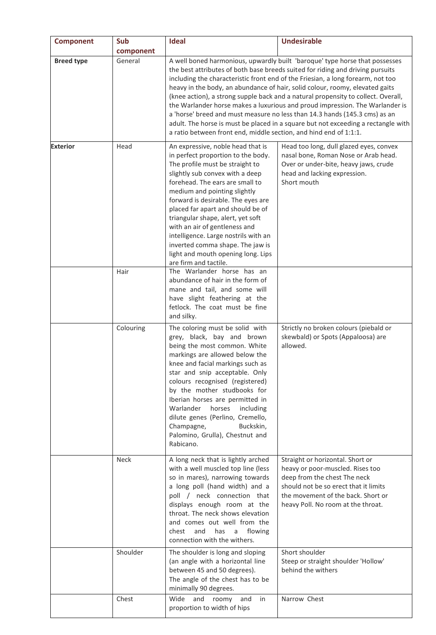| <b>Component</b>  | Sub<br>component | <b>Ideal</b>                                                                                                                                                                                                                                                                                                                                                                                                                                                                                                                                                                                                                                                                                                                                  | <b>Undesirable</b>                                                                                                                                                                                                        |
|-------------------|------------------|-----------------------------------------------------------------------------------------------------------------------------------------------------------------------------------------------------------------------------------------------------------------------------------------------------------------------------------------------------------------------------------------------------------------------------------------------------------------------------------------------------------------------------------------------------------------------------------------------------------------------------------------------------------------------------------------------------------------------------------------------|---------------------------------------------------------------------------------------------------------------------------------------------------------------------------------------------------------------------------|
| <b>Breed type</b> | General          | A well boned harmonious, upwardly built 'baroque' type horse that possesses<br>the best attributes of both base breeds suited for riding and driving pursuits<br>including the characteristic front end of the Friesian, a long forearm, not too<br>heavy in the body, an abundance of hair, solid colour, roomy, elevated gaits<br>(knee action), a strong supple back and a natural propensity to collect. Overall,<br>the Warlander horse makes a luxurious and proud impression. The Warlander is<br>a 'horse' breed and must measure no less than 14.3 hands (145.3 cms) as an<br>adult. The horse is must be placed in a square but not exceeding a rectangle with<br>a ratio between front end, middle section, and hind end of 1:1:1. |                                                                                                                                                                                                                           |
| <b>Exterior</b>   | Head             | An expressive, noble head that is<br>in perfect proportion to the body.<br>The profile must be straight to<br>slightly sub convex with a deep<br>forehead. The ears are small to<br>medium and pointing slightly<br>forward is desirable. The eyes are<br>placed far apart and should be of<br>triangular shape, alert, yet soft<br>with an air of gentleness and<br>intelligence. Large nostrils with an<br>inverted comma shape. The jaw is<br>light and mouth opening long. Lips<br>are firm and tactile.                                                                                                                                                                                                                                  | Head too long, dull glazed eyes, convex<br>nasal bone, Roman Nose or Arab head.<br>Over or under-bite, heavy jaws, crude<br>head and lacking expression.<br>Short mouth                                                   |
|                   | Hair             | The Warlander horse has an<br>abundance of hair in the form of<br>mane and tail, and some will<br>have slight feathering at the<br>fetlock. The coat must be fine<br>and silky.                                                                                                                                                                                                                                                                                                                                                                                                                                                                                                                                                               |                                                                                                                                                                                                                           |
|                   | Colouring        | The coloring must be solid with<br>grey, black, bay and brown<br>being the most common. White<br>markings are allowed below the<br>knee and facial markings such as<br>star and snip acceptable. Only<br>colours recognised (registered)<br>by the mother studbooks for<br>Iberian horses are permitted in<br>Warlander<br>horses<br>including<br>dilute genes (Perlino, Cremello,<br>Buckskin,<br>Champagne,<br>Palomino, Grulla), Chestnut and<br>Rabicano.                                                                                                                                                                                                                                                                                 | Strictly no broken colours (piebald or<br>skewbald) or Spots (Appaloosa) are<br>allowed.                                                                                                                                  |
|                   | <b>Neck</b>      | A long neck that is lightly arched<br>with a well muscled top line (less<br>so in mares), narrowing towards<br>a long poll (hand width) and a<br>poll / neck connection that<br>displays enough room at the<br>throat. The neck shows elevation<br>and comes out well from the<br>chest<br>and<br>has<br>flowing<br>a<br>connection with the withers.                                                                                                                                                                                                                                                                                                                                                                                         | Straight or horizontal. Short or<br>heavy or poor-muscled. Rises too<br>deep from the chest The neck<br>should not be so erect that it limits<br>the movement of the back. Short or<br>heavy Poll. No room at the throat. |
|                   | Shoulder         | The shoulder is long and sloping<br>(an angle with a horizontal line<br>between 45 and 50 degrees).<br>The angle of the chest has to be<br>minimally 90 degrees.                                                                                                                                                                                                                                                                                                                                                                                                                                                                                                                                                                              | Short shoulder<br>Steep or straight shoulder 'Hollow'<br>behind the withers                                                                                                                                               |
|                   | Chest            | Wide<br>and roomy<br>and<br>in<br>proportion to width of hips                                                                                                                                                                                                                                                                                                                                                                                                                                                                                                                                                                                                                                                                                 | Narrow Chest                                                                                                                                                                                                              |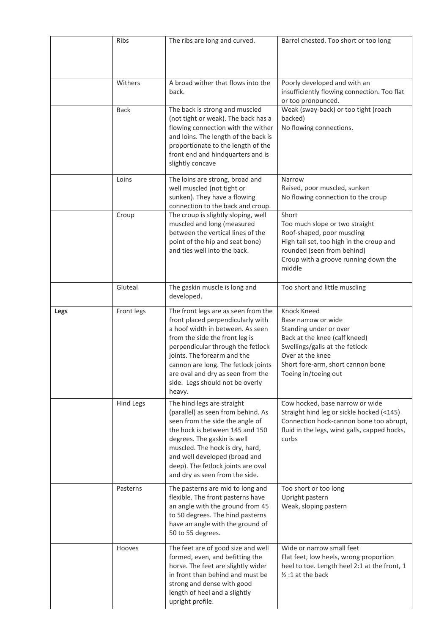|      | Ribs             | The ribs are long and curved.                                                                                                                                                                                                                                                                                                               | Barrel chested. Too short or too long                                                                                                                                                                            |
|------|------------------|---------------------------------------------------------------------------------------------------------------------------------------------------------------------------------------------------------------------------------------------------------------------------------------------------------------------------------------------|------------------------------------------------------------------------------------------------------------------------------------------------------------------------------------------------------------------|
|      |                  |                                                                                                                                                                                                                                                                                                                                             |                                                                                                                                                                                                                  |
|      | Withers          | A broad wither that flows into the<br>back.                                                                                                                                                                                                                                                                                                 | Poorly developed and with an<br>insufficiently flowing connection. Too flat<br>or too pronounced.                                                                                                                |
|      | <b>Back</b>      | The back is strong and muscled<br>(not tight or weak). The back has a<br>flowing connection with the wither<br>and loins. The length of the back is<br>proportionate to the length of the<br>front end and hindquarters and is<br>slightly concave                                                                                          | Weak (sway-back) or too tight (roach<br>backed)<br>No flowing connections.                                                                                                                                       |
|      | Loins            | The loins are strong, broad and<br>well muscled (not tight or<br>sunken). They have a flowing<br>connection to the back and croup.<br>The croup is slightly sloping, well<br>muscled and long (measured<br>between the vertical lines of the<br>point of the hip and seat bone)<br>and ties well into the back.                             | Narrow<br>Raised, poor muscled, sunken<br>No flowing connection to the croup                                                                                                                                     |
|      | Croup            |                                                                                                                                                                                                                                                                                                                                             | Short<br>Too much slope or two straight<br>Roof-shaped, poor muscling<br>High tail set, too high in the croup and<br>rounded (seen from behind)<br>Croup with a groove running down the<br>middle                |
|      | Gluteal          | The gaskin muscle is long and<br>developed.                                                                                                                                                                                                                                                                                                 | Too short and little muscling                                                                                                                                                                                    |
| Legs | Front legs       | The front legs are as seen from the<br>front placed perpendicularly with<br>a hoof width in between. As seen<br>from the side the front leg is<br>perpendicular through the fetlock<br>joints. The forearm and the<br>cannon are long. The fetlock joints<br>are oval and dry as seen from the<br>side. Legs should not be overly<br>heavy. | Knock Kneed<br>Base narrow or wide<br>Standing under or over<br>Back at the knee (calf kneed)<br>Swellings/galls at the fetlock<br>Over at the knee<br>Short fore-arm, short cannon bone<br>Toeing in/toeing out |
|      | <b>Hind Legs</b> | The hind legs are straight<br>(parallel) as seen from behind. As<br>seen from the side the angle of<br>the hock is between 145 and 150<br>degrees. The gaskin is well<br>muscled. The hock is dry, hard,<br>and well developed (broad and<br>deep). The fetlock joints are oval<br>and dry as seen from the side.                           | Cow hocked, base narrow or wide<br>Straight hind leg or sickle hocked (<145)<br>Connection hock-cannon bone too abrupt,<br>fluid in the legs, wind galls, capped hocks,<br>curbs                                 |
|      | Pasterns         | The pasterns are mid to long and<br>flexible. The front pasterns have<br>an angle with the ground from 45<br>to 50 degrees. The hind pasterns<br>have an angle with the ground of<br>50 to 55 degrees.                                                                                                                                      | Too short or too long<br>Upright pastern<br>Weak, sloping pastern                                                                                                                                                |
|      | Hooves           | The feet are of good size and well<br>formed, even, and befitting the<br>horse. The feet are slightly wider<br>in front than behind and must be<br>strong and dense with good<br>length of heel and a slightly<br>upright profile.                                                                                                          | Wide or narrow small feet<br>Flat feet, low heels, wrong proportion<br>heel to toe. Length heel 2:1 at the front, 1<br>$\frac{1}{2}$ :1 at the back                                                              |